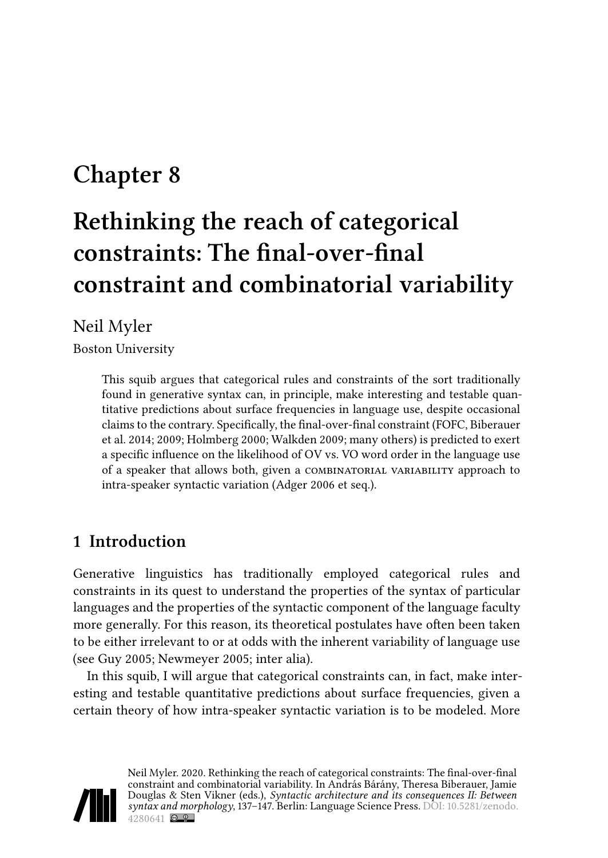## **Chapter 8**

# **Rethinking the reach of categorical constraints: The final-over-final constraint and combinatorial variability**

#### Neil Myler

Boston University

This squib argues that categorical rules and constraints of the sort traditionally found in generative syntax can, in principle, make interesting and testable quantitative predictions about surface frequencies in language use, despite occasional claims to the contrary. Specifically, the final-over-final constraint (FOFC, [Biberauer](#page-8-0) [et al. 2014](#page-8-0); [2009;](#page-9-0) [Holmberg 2000;](#page-9-1) [Walkden 2009;](#page-10-0) many others) is predicted to exert a specific influence on the likelihood of OV vs. VO word order in the language use of a speaker that allows both, given a combinatorial variability approach to intra-speaker syntactic variation([Adger 2006](#page-8-1) et seq.).

## **1 Introduction**

Generative linguistics has traditionally employed categorical rules and constraints in its quest to understand the properties of the syntax of particular languages and the properties of the syntactic component of the language faculty more generally. For this reason, its theoretical postulates have often been taken to be either irrelevant to or at odds with the inherent variability of language use (see [Guy 2005](#page-9-2); [Newmeyer 2005;](#page-9-3) inter alia).

In this squib, I will argue that categorical constraints can, in fact, make interesting and testable quantitative predictions about surface frequencies, given a certain theory of how intra-speaker syntactic variation is to be modeled. More

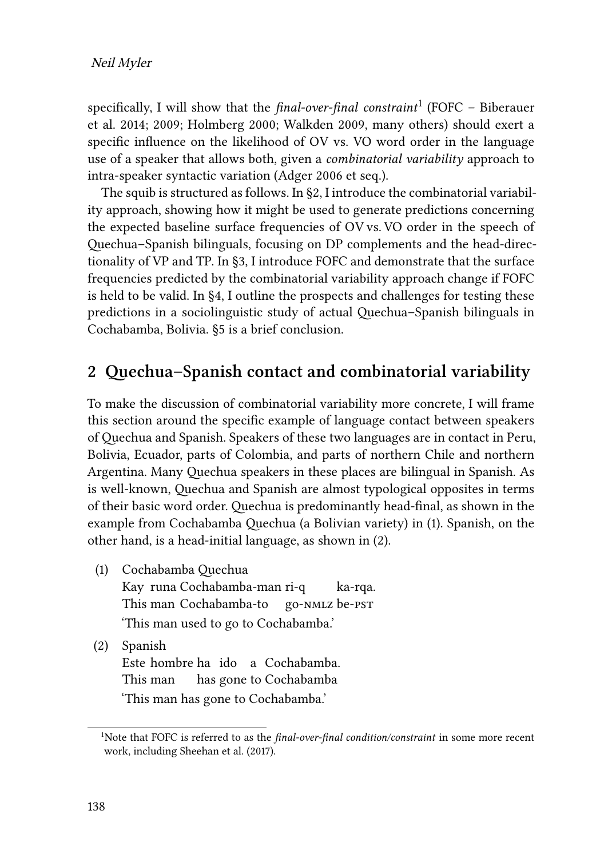specifically, I will show that the *final-over-final constraint*<sup>1</sup> (FOFC – [Biberauer](#page-8-0) [et al. 2014](#page-8-0); [2009;](#page-9-0) [Holmberg 2000;](#page-9-1) [Walkden 2009](#page-10-0), many others) should exert a specific influence on the likelihood of OV vs. VO word order in the language use of a speaker that allows both, given a *combinatorial variability* approach to intra-speaker syntactic variation [\(Adger 2006](#page-8-1) et seq.).

The squib is structured as follows. In§[2](#page-1-0), I introduce the combinatorial variability approach, showing how it might be used to generate predictions concerning the expected baseline surface frequencies of OV vs. VO order in the speech of Quechua–Spanish bilinguals, focusing on DP complements and the head-directionality of VP and TP. In [§3](#page-6-0), I introduce FOFC and demonstrate that the surface frequencies predicted by the combinatorial variability approach change if FOFC is held to be valid. In [§4,](#page-7-0) I outline the prospects and challenges for testing these predictions in a sociolinguistic study of actual Quechua–Spanish bilinguals in Cochabamba, Bolivia. [§5](#page-8-2) is a brief conclusion.

#### <span id="page-1-0"></span>**2 Quechua–Spanish contact and combinatorial variability**

To make the discussion of combinatorial variability more concrete, I will frame this section around the specific example of language contact between speakers of Quechua and Spanish. Speakers of these two languages are in contact in Peru, Bolivia, Ecuador, parts of Colombia, and parts of northern Chile and northern Argentina. Many Quechua speakers in these places are bilingual in Spanish. As is well-known, Quechua and Spanish are almost typological opposites in terms of their basic word order. Quechua is predominantly head-final, as shown in the example from Cochabamba Quechua (a Bolivian variety) in([1\)](#page-1-1). Spanish, on the other hand, is a head-initial language, as shown in [\(2](#page-1-2)).

- <span id="page-1-1"></span>(1) Cochabamba Quechua Kay runa Cochabamba-man ri-q This man Cochabamba-to go-nmlz be-pst ka-rqa. 'This man used to go to Cochabamba.'
- <span id="page-1-2"></span>(2) Spanish Este hombre ha ido a Cochabamba. This man has gone to Cochabamba 'This man has gone to Cochabamba.'

<sup>&</sup>lt;sup>1</sup>Note that FOFC is referred to as the *final-over-final condition/constraint* in some more recent work, including [Sheehan et al. \(2017\).](#page-10-1)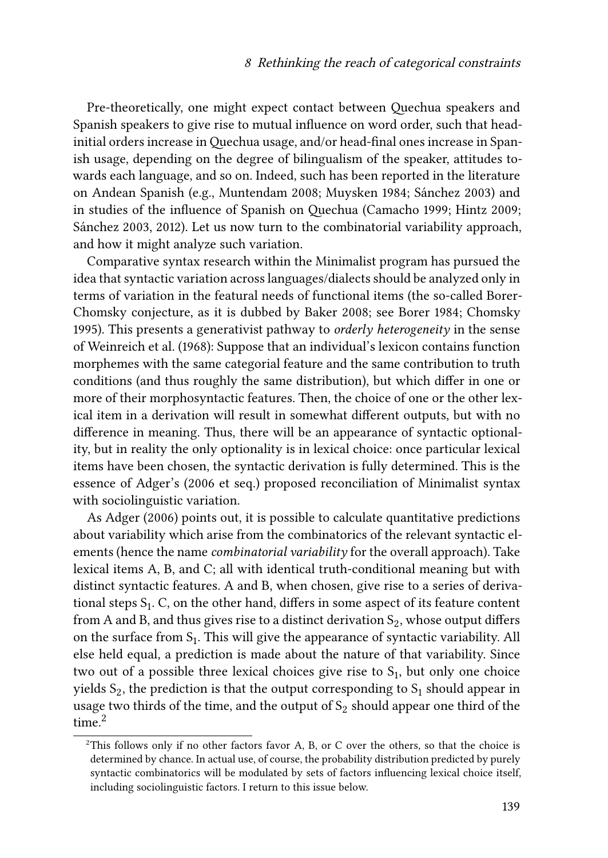Pre-theoretically, one might expect contact between Quechua speakers and Spanish speakers to give rise to mutual influence on word order, such that headinitial orders increase in Quechua usage, and/or head-final ones increase in Spanish usage, depending on the degree of bilingualism of the speaker, attitudes towards each language, and so on. Indeed, such has been reported in the literature on Andean Spanish (e.g., [Muntendam 2008](#page-9-4); [Muysken 1984;](#page-9-5) [Sánchez 2003](#page-10-2)) and in studies of the influence of Spanish on Quechua([Camacho 1999](#page-9-6); [Hintz 2009;](#page-9-7) [Sánchez 2003](#page-10-2), 2012). Let us now turn to the combinatorial variability approach, and how it might analyze such variation.

Comparative syntax research within the Minimalist program has pursued the idea that syntactic variation across languages/dialects should be analyzed only in terms of variation in the featural needs of functional items (the so-called Borer-Chomsky conjecture, as it is dubbed by [Baker 2008](#page-8-3); see [Borer 1984](#page-9-8); [Chomsky](#page-9-9) [1995](#page-9-9)). This presents a generativist pathway to *orderly heterogeneity* in the sense of [Weinreich et al. \(1968\)](#page-10-3): Suppose that an individual's lexicon contains function morphemes with the same categorial feature and the same contribution to truth conditions (and thus roughly the same distribution), but which differ in one or more of their morphosyntactic features. Then, the choice of one or the other lexical item in a derivation will result in somewhat different outputs, but with no difference in meaning. Thus, there will be an appearance of syntactic optionality, but in reality the only optionality is in lexical choice: once particular lexical items have been chosen, the syntactic derivation is fully determined. This is the essence of [Adger](#page-8-1)'s [\(2006](#page-8-1) et seq.) proposed reconciliation of Minimalist syntax with sociolinguistic variation.

As [Adger \(2006\)](#page-8-1) points out, it is possible to calculate quantitative predictions about variability which arise from the combinatorics of the relevant syntactic elements (hence the name *combinatorial variability* for the overall approach). Take lexical items A, B, and C; all with identical truth-conditional meaning but with distinct syntactic features. A and B, when chosen, give rise to a series of derivational steps  $S_1$ . C, on the other hand, differs in some aspect of its feature content from A and B, and thus gives rise to a distinct derivation  $\mathrm{S}_2,$  whose output differs on the surface from  $S_1$ . This will give the appearance of syntactic variability. All else held equal, a prediction is made about the nature of that variability. Since two out of a possible three lexical choices give rise to  $S_1$ , but only one choice yields  $\mathsf{S}_2$ , the prediction is that the output corresponding to  $\mathsf{S}_1$  should appear in usage two thirds of the time, and the output of  $\mathrm{S}_2$  should appear one third of the time $^2$ 

 $2$ This follows only if no other factors favor A, B, or C over the others, so that the choice is determined by chance. In actual use, of course, the probability distribution predicted by purely syntactic combinatorics will be modulated by sets of factors influencing lexical choice itself, including sociolinguistic factors. I return to this issue below.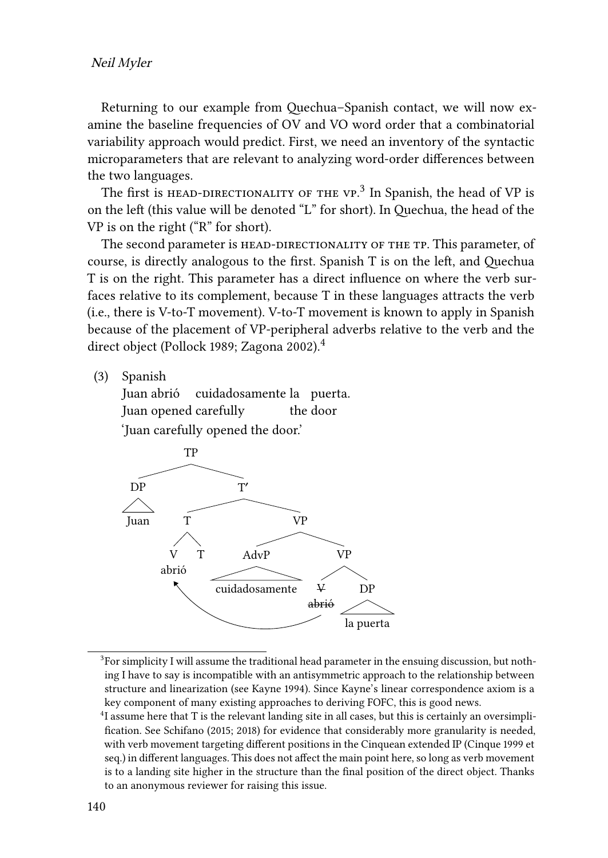Returning to our example from Quechua–Spanish contact, we will now examine the baseline frequencies of OV and VO word order that a combinatorial variability approach would predict. First, we need an inventory of the syntactic microparameters that are relevant to analyzing word-order differences between the two languages.

The first is  ${\tt HEAD-DIRECTIONALITY}$  or the  ${\tt VP.}^3$  In Spanish, the head of VP is on the left (this value will be denoted "L" for short). In Quechua, the head of the VP is on the right ("R" for short).

The second parameter is HEAD-DIRECTIONALITY OF THE TP. This parameter, of course, is directly analogous to the first. Spanish T is on the left, and Quechua T is on the right. This parameter has a direct influence on where the verb surfaces relative to its complement, because T in these languages attracts the verb (i.e., there is V-to-T movement). V-to-T movement is known to apply in Spanish because of the placement of VP-peripheral adverbs relative to the verb and the direct object([Pollock 1989;](#page-10-4) [Zagona 2002](#page-10-5)).<sup>4</sup>

(3) Spanish

Juan abrió Juan opened carefully cuidadosamente la puerta. the door 'Juan carefully opened the door.'



 ${}^{3}$ For simplicity I will assume the traditional head parameter in the ensuing discussion, but nothing I have to say is incompatible with an antisymmetric approach to the relationship between structure and linearization (see [Kayne 1994\)](#page-9-10). Since Kayne's linear correspondence axiom is a key component of many existing approaches to deriving FOFC, this is good news.

<sup>&</sup>lt;sup>4</sup>I assume here that T is the relevant landing site in all cases, but this is certainly an oversimplification. See [Schifano \(2015;](#page-10-6) [2018\)](#page-10-7) for evidence that considerably more granularity is needed, with verb movement targeting different positions in the Cinquean extended IP([Cinque 1999](#page-9-11) et seq.) in different languages. This does not affect the main point here, so long as verb movement is to a landing site higher in the structure than the final position of the direct object. Thanks to an anonymous reviewer for raising this issue.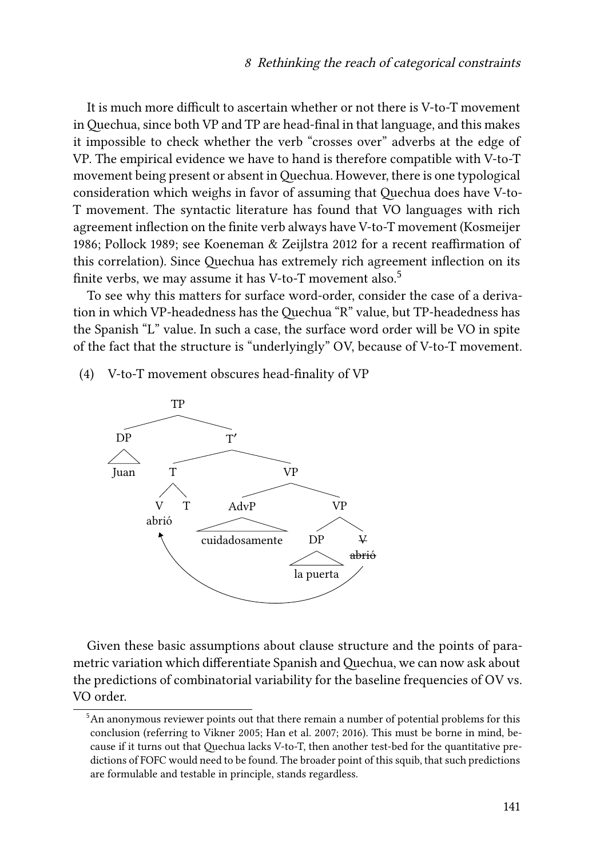It is much more difficult to ascertain whether or not there is V-to-T movement in Quechua, since both VP and TP are head-final in that language, and this makes it impossible to check whether the verb "crosses over" adverbs at the edge of VP. The empirical evidence we have to hand is therefore compatible with V-to-T movement being present or absent in Quechua. However, there is one typological consideration which weighs in favor of assuming that Quechua does have V-to-T movement. The syntactic literature has found that VO languages with rich agreement inflection on the finite verb always have V-to-T movement([Kosmeijer](#page-9-12) [1986](#page-9-12); [Pollock 1989;](#page-10-4) see [Koeneman & Zeijlstra 2012](#page-9-13) for a recent reaffirmation of this correlation). Since Quechua has extremely rich agreement inflection on its finite verbs, we may assume it has V-to-T movement also.<sup>5</sup>

To see why this matters for surface word-order, consider the case of a derivation in which VP-headedness has the Quechua "R" value, but TP-headedness has the Spanish "L" value. In such a case, the surface word order will be VO in spite of the fact that the structure is "underlyingly" OV, because of V-to-T movement.

(4) V-to-T movement obscures head-finality of VP



Given these basic assumptions about clause structure and the points of parametric variation which differentiate Spanish and Quechua, we can now ask about the predictions of combinatorial variability for the baseline frequencies of OV vs. VO order.

<sup>&</sup>lt;sup>5</sup>An anonymous reviewer points out that there remain a number of potential problems for this conclusion (referring to [Vikner 2005](#page-10-8); [Han et al. 2007;](#page-9-14) [2016](#page-9-15)). This must be borne in mind, because if it turns out that Quechua lacks V-to-T, then another test-bed for the quantitative predictions of FOFC would need to be found. The broader point of this squib, that such predictions are formulable and testable in principle, stands regardless.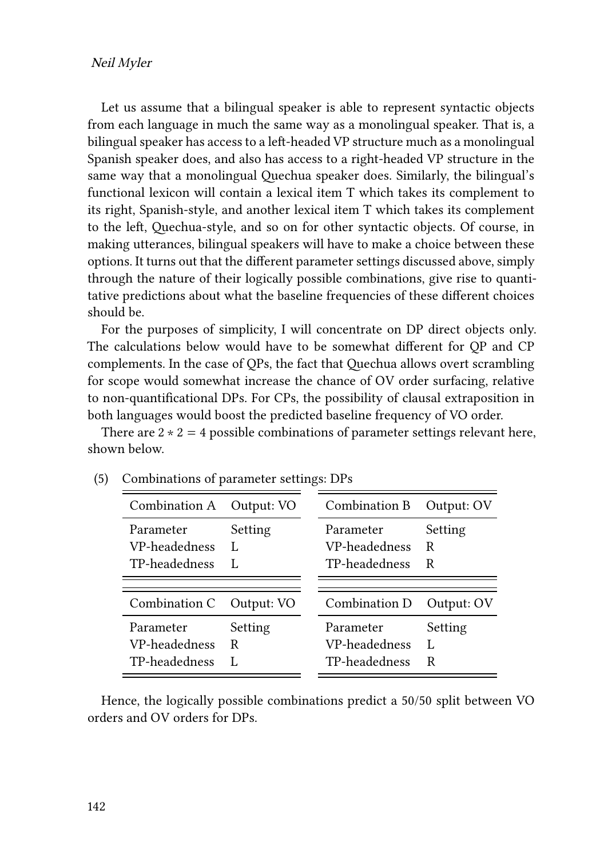Let us assume that a bilingual speaker is able to represent syntactic objects from each language in much the same way as a monolingual speaker. That is, a bilingual speaker has access to a left-headed VP structure much as a monolingual Spanish speaker does, and also has access to a right-headed VP structure in the same way that a monolingual Quechua speaker does. Similarly, the bilingual's functional lexicon will contain a lexical item T which takes its complement to its right, Spanish-style, and another lexical item T which takes its complement to the left, Quechua-style, and so on for other syntactic objects. Of course, in making utterances, bilingual speakers will have to make a choice between these options. It turns out that the different parameter settings discussed above, simply through the nature of their logically possible combinations, give rise to quantitative predictions about what the baseline frequencies of these different choices should be.

For the purposes of simplicity, I will concentrate on DP direct objects only. The calculations below would have to be somewhat different for QP and CP complements. In the case of QPs, the fact that Quechua allows overt scrambling for scope would somewhat increase the chance of OV order surfacing, relative to non-quantificational DPs. For CPs, the possibility of clausal extraposition in both languages would boost the predicted baseline frequency of VO order.

There are  $2 \times 2 = 4$  possible combinations of parameter settings relevant here, shown below.

| Combination A                               | Output: VO   | Combination B                               | Output: OV        |
|---------------------------------------------|--------------|---------------------------------------------|-------------------|
| Parameter<br>VP-headedness<br>TP-headedness | Setting<br>L | Parameter<br>VP-headedness<br>TP-headedness | Setting<br>R<br>R |
|                                             |              |                                             |                   |
| Combination C                               | Output: VO   | Combination D                               | Output: OV        |
| Parameter<br>VP-headedness<br>TP-headedness | Setting<br>R | Parameter<br>VP-headedness<br>TP-headedness | Setting<br>R      |

<span id="page-5-0"></span>

| (5) | Combinations of parameter settings: DPs |  |
|-----|-----------------------------------------|--|
|     |                                         |  |

Hence, the logically possible combinations predict a 50/50 split between VO orders and OV orders for DPs.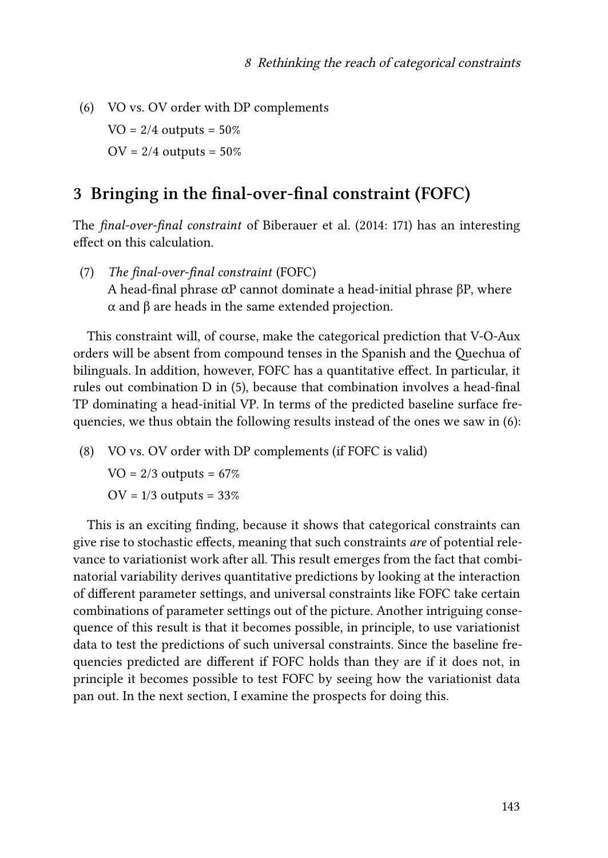<span id="page-6-1"></span>(6) VO vs. OV order with DP complements  $VO = 2/4$  outputs =  $50\%$  $OV = 2/4$  outputs =  $50\%$ 

#### <span id="page-6-0"></span>**3 Bringing in the final-over-final constraint (FOFC)**

The *final-over-final constraint* of [Biberauer et al. \(2014:](#page-8-0) 171) has an interesting effect on this calculation.

(7) *The final-over-final constraint* (FOFC) A head-final phrase  $\alpha$ P cannot dominate a head-initial phrase βP, where α and β are heads in the same extended projection.

This constraint will, of course, make the categorical prediction that V-O-Aux orders will be absent from compound tenses in the Spanish and the Quechua of bilinguals. In addition, however, FOFC has a quantitative effect. In particular, it rules out combination D in([5\)](#page-5-0), because that combination involves a head-final TP dominating a head-initial VP. In terms of the predicted baseline surface frequencies, we thus obtain the following results instead of the ones we saw in [\(6](#page-6-1)):

(8) VO vs. OV order with DP complements (if FOFC is valid)

 $VO = 2/3$  outputs = 67%  $OV = 1/3$  outputs = 33%

This is an exciting finding, because it shows that categorical constraints can give rise to stochastic effects, meaning that such constraints *are* of potential relevance to variationist work after all. This result emerges from the fact that combinatorial variability derives quantitative predictions by looking at the interaction of different parameter settings, and universal constraints like FOFC take certain combinations of parameter settings out of the picture. Another intriguing consequence of this result is that it becomes possible, in principle, to use variationist data to test the predictions of such universal constraints. Since the baseline frequencies predicted are different if FOFC holds than they are if it does not, in principle it becomes possible to test FOFC by seeing how the variationist data pan out. In the next section, I examine the prospects for doing this.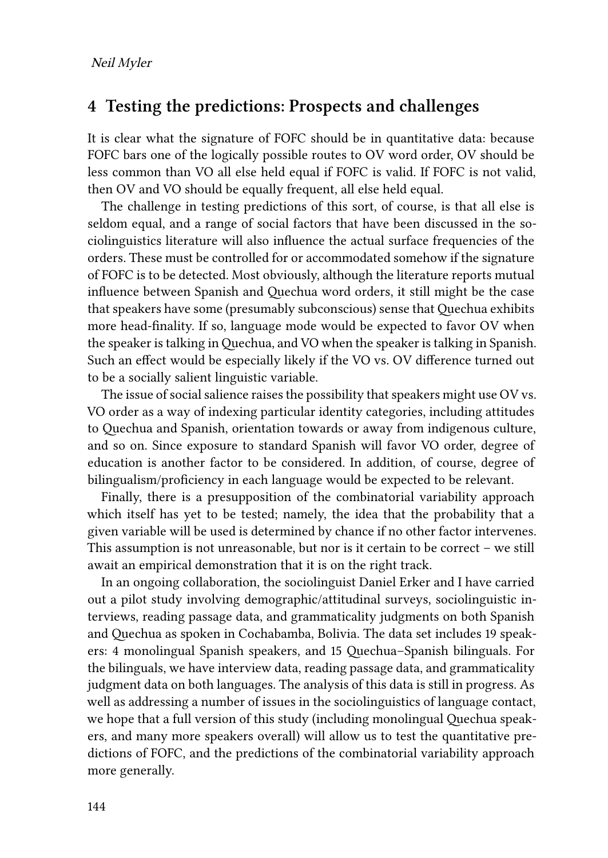#### <span id="page-7-0"></span>**4 Testing the predictions: Prospects and challenges**

It is clear what the signature of FOFC should be in quantitative data: because FOFC bars one of the logically possible routes to OV word order, OV should be less common than VO all else held equal if FOFC is valid. If FOFC is not valid, then OV and VO should be equally frequent, all else held equal.

The challenge in testing predictions of this sort, of course, is that all else is seldom equal, and a range of social factors that have been discussed in the sociolinguistics literature will also influence the actual surface frequencies of the orders. These must be controlled for or accommodated somehow if the signature of FOFC is to be detected. Most obviously, although the literature reports mutual influence between Spanish and Quechua word orders, it still might be the case that speakers have some (presumably subconscious) sense that Quechua exhibits more head-finality. If so, language mode would be expected to favor OV when the speaker is talking in Quechua, and VO when the speaker is talking in Spanish. Such an effect would be especially likely if the VO vs. OV difference turned out to be a socially salient linguistic variable.

The issue of social salience raises the possibility that speakers might use OV vs. VO order as a way of indexing particular identity categories, including attitudes to Quechua and Spanish, orientation towards or away from indigenous culture, and so on. Since exposure to standard Spanish will favor VO order, degree of education is another factor to be considered. In addition, of course, degree of bilingualism/proficiency in each language would be expected to be relevant.

Finally, there is a presupposition of the combinatorial variability approach which itself has yet to be tested; namely, the idea that the probability that a given variable will be used is determined by chance if no other factor intervenes. This assumption is not unreasonable, but nor is it certain to be correct – we still await an empirical demonstration that it is on the right track.

In an ongoing collaboration, the sociolinguist Daniel Erker and I have carried out a pilot study involving demographic/attitudinal surveys, sociolinguistic interviews, reading passage data, and grammaticality judgments on both Spanish and Quechua as spoken in Cochabamba, Bolivia. The data set includes 19 speakers: 4 monolingual Spanish speakers, and 15 Quechua–Spanish bilinguals. For the bilinguals, we have interview data, reading passage data, and grammaticality judgment data on both languages. The analysis of this data is still in progress. As well as addressing a number of issues in the sociolinguistics of language contact, we hope that a full version of this study (including monolingual Quechua speakers, and many more speakers overall) will allow us to test the quantitative predictions of FOFC, and the predictions of the combinatorial variability approach more generally.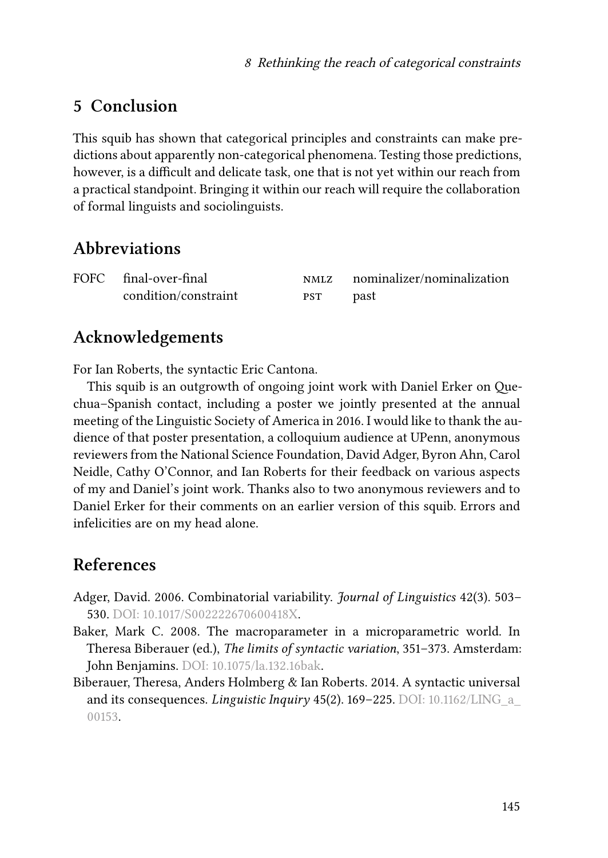## <span id="page-8-2"></span>**5 Conclusion**

This squib has shown that categorical principles and constraints can make predictions about apparently non-categorical phenomena. Testing those predictions, however, is a difficult and delicate task, one that is not yet within our reach from a practical standpoint. Bringing it within our reach will require the collaboration of formal linguists and sociolinguists.

## **Abbreviations**

| FOFC final-over-final | <b>NMLZ</b> | nominalizer/nominalization |
|-----------------------|-------------|----------------------------|
| condition/constraint  | <b>PST</b>  | past                       |

## **Acknowledgements**

For Ian Roberts, the syntactic Eric Cantona.

This squib is an outgrowth of ongoing joint work with Daniel Erker on Quechua–Spanish contact, including a poster we jointly presented at the annual meeting of the Linguistic Society of America in 2016. I would like to thank the audience of that poster presentation, a colloquium audience at UPenn, anonymous reviewers from the National Science Foundation, David Adger, Byron Ahn, Carol Neidle, Cathy O'Connor, and Ian Roberts for their feedback on various aspects of my and Daniel's joint work. Thanks also to two anonymous reviewers and to Daniel Erker for their comments on an earlier version of this squib. Errors and infelicities are on my head alone.

### **References**

- <span id="page-8-1"></span>Adger, David. 2006. Combinatorial variability. *Journal of Linguistics* 42(3). 503– 530. DOI: [10.1017/S002222670600418X](https://doi.org/10.1017/S002222670600418X).
- <span id="page-8-3"></span>Baker, Mark C. 2008. The macroparameter in a microparametric world. In Theresa Biberauer (ed.), *The limits of syntactic variation*, 351–373. Amsterdam: John Benjamins. DOI: [10.1075/la.132.16bak](https://doi.org/10.1075/la.132.16bak).
- <span id="page-8-0"></span>Biberauer, Theresa, Anders Holmberg & Ian Roberts. 2014. A syntactic universal and its consequences. *Linguistic Inquiry* 45(2). 169–225. DOI: [10.1162/LING\\_a\\_](https://doi.org/10.1162/LING_a_00153) [00153.](https://doi.org/10.1162/LING_a_00153)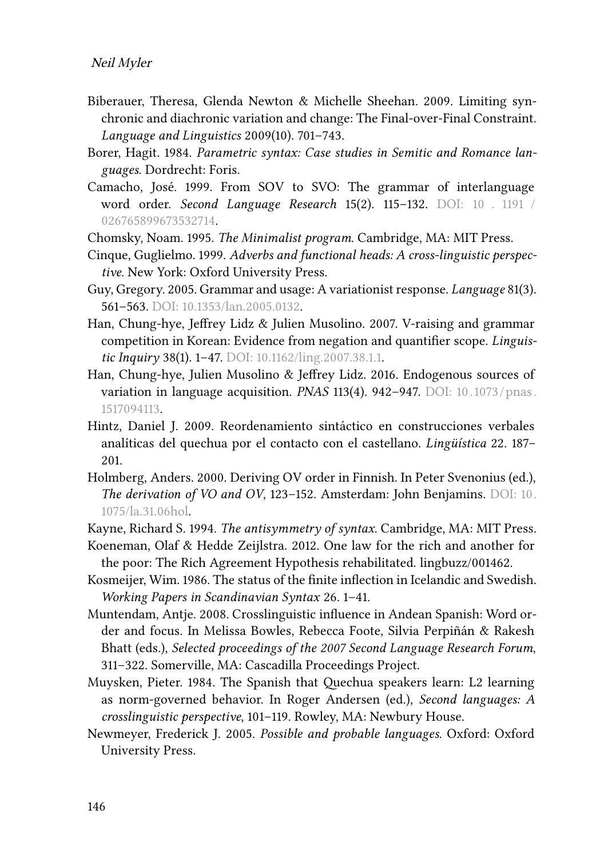- <span id="page-9-0"></span>Biberauer, Theresa, Glenda Newton & Michelle Sheehan. 2009. Limiting synchronic and diachronic variation and change: The Final-over-Final Constraint. *Language and Linguistics* 2009(10). 701–743.
- <span id="page-9-8"></span>Borer, Hagit. 1984. *Parametric syntax: Case studies in Semitic and Romance languages*. Dordrecht: Foris.
- <span id="page-9-6"></span>Camacho, José. 1999. From SOV to SVO: The grammar of interlanguage word order. *Second Language Research* 15(2). 115–132. DOI: [10 . 1191 /](https://doi.org/10.1191/026765899673532714) [026765899673532714.](https://doi.org/10.1191/026765899673532714)
- <span id="page-9-9"></span>Chomsky, Noam. 1995. *The Minimalist program*. Cambridge, MA: MIT Press.
- <span id="page-9-11"></span>Cinque, Guglielmo. 1999. *Adverbs and functional heads: A cross-linguistic perspective*. New York: Oxford University Press.
- <span id="page-9-2"></span>Guy, Gregory. 2005. Grammar and usage: A variationist response. *Language* 81(3). 561–563. DOI: [10.1353/lan.2005.0132.](https://doi.org/10.1353/lan.2005.0132)
- <span id="page-9-14"></span>Han, Chung-hye, Jeffrey Lidz & Julien Musolino. 2007. V-raising and grammar competition in Korean: Evidence from negation and quantifier scope. *Linguistic Inquiry* 38(1). 1–47. DOI: [10.1162/ling.2007.38.1.1](https://doi.org/10.1162/ling.2007.38.1.1).
- <span id="page-9-15"></span>Han, Chung-hye, Julien Musolino & Jeffrey Lidz. 2016. Endogenous sources of variation in language acquisition. *PNAS* 113(4). 942–947. DOI: [10. 1073 / pnas.](https://doi.org/10.1073/pnas.1517094113) [1517094113.](https://doi.org/10.1073/pnas.1517094113)
- <span id="page-9-7"></span>Hintz, Daniel J. 2009. Reordenamiento sintáctico en construcciones verbales analíticas del quechua por el contacto con el castellano. *Lingüística* 22. 187– 201.
- <span id="page-9-1"></span>Holmberg, Anders. 2000. Deriving OV order in Finnish. In Peter Svenonius (ed.), *The derivation of VO and OV*, 123–152. Amsterdam: John Benjamins. DOI: [10.](https://doi.org/10.1075/la.31.06hol) [1075/la.31.06hol](https://doi.org/10.1075/la.31.06hol).
- <span id="page-9-10"></span>Kayne, Richard S. 1994. *The antisymmetry of syntax*. Cambridge, MA: MIT Press.
- <span id="page-9-13"></span>Koeneman, Olaf & Hedde Zeijlstra. 2012. One law for the rich and another for the poor: The Rich Agreement Hypothesis rehabilitated. lingbuzz/001462.
- <span id="page-9-12"></span>Kosmeijer, Wim. 1986. The status of the finite inflection in Icelandic and Swedish. *Working Papers in Scandinavian Syntax* 26. 1–41.
- <span id="page-9-4"></span>Muntendam, Antje. 2008. Crosslinguistic influence in Andean Spanish: Word order and focus. In Melissa Bowles, Rebecca Foote, Silvia Perpiñán & Rakesh Bhatt (eds.), *Selected proceedings of the 2007 Second Language Research Forum*, 311–322. Somerville, MA: Cascadilla Proceedings Project.
- <span id="page-9-5"></span>Muysken, Pieter. 1984. The Spanish that Quechua speakers learn: L2 learning as norm-governed behavior. In Roger Andersen (ed.), *Second languages: A crosslinguistic perspective*, 101–119. Rowley, MA: Newbury House.
- <span id="page-9-3"></span>Newmeyer, Frederick J. 2005. *Possible and probable languages*. Oxford: Oxford University Press.